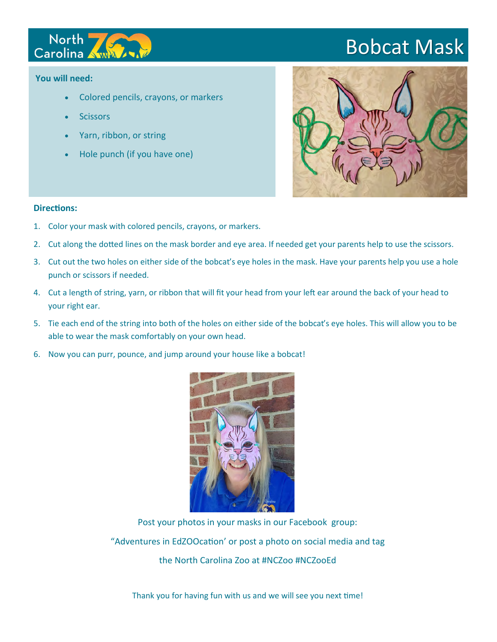

## Bobcat Mask

## **You will need:**

- Colored pencils, crayons, or markers
- **Scissors**
- Yarn, ribbon, or string
- Hole punch (if you have one)



## **Directions:**

- 1. Color your mask with colored pencils, crayons, or markers.
- 2. Cut along the dotted lines on the mask border and eye area. If needed get your parents help to use the scissors.
- 3. Cut out the two holes on either side of the bobcat's eye holes in the mask. Have your parents help you use a hole punch or scissors if needed.
- 4. Cut a length of string, yarn, or ribbon that will fit your head from your left ear around the back of your head to your right ear.
- 5. Tie each end of the string into both of the holes on either side of the bobcat's eye holes. This will allow you to be able to wear the mask comfortably on your own head.
- 6. Now you can purr, pounce, and jump around your house like a bobcat!



Post your photos in your masks in our Facebook group: "Adventures in EdZOOcation' or post a photo on social media and tag the North Carolina Zoo at #NCZoo #NCZooEd

Thank you for having fun with us and we will see you next time!